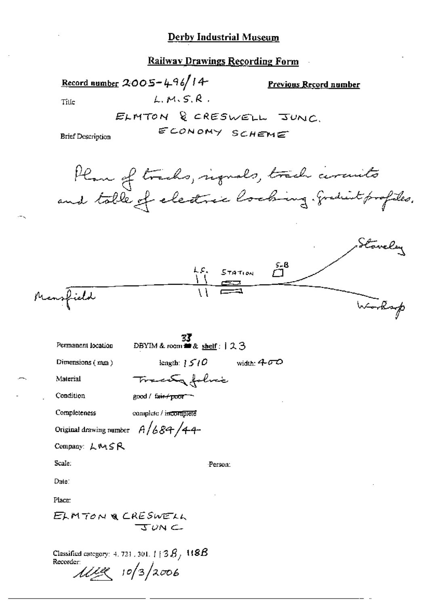**Railway Drawings Recording Form** 

Record number 2005-496/14 **Previous Record number**  $LM.S.R.$ Tille ELMTON & CRESWELL JUNC. ECONOMY SCHEME **Brief Description** Plan of tracks, regues, track cercuits and table of electric looking. graduit profiles. Stovely  $574710N$   $5-8$ Mansfield Worksp **BBYIM & room**  $\mathbb{Z}$ & shelf: 123 Permanent location Dimensions (mm) length:  $\frac{1}{2}$   $\frac{1}{2}$   $\frac{1}{2}$ width:  $400$ Trace folice Material Condition good / fair+poor-Completeness complete / incomplete Original drawing number  $A/684/44$ Company: LMSR Scale: Person: Date: Place: ELMTON & CRESWELL  $TUN \subset$ Classified category: 4, 721 , 301, [ [  $3\,B_{\odot}$   $118B$ Recorder:

 $11198$   $10/3/2006$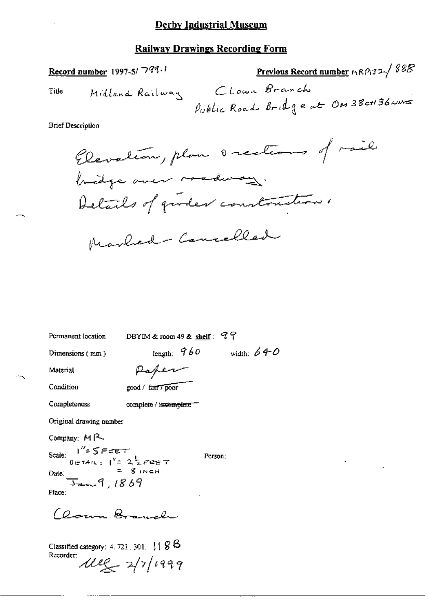#### **Railway Drawings Recording Form**

Record number 1997-5/799.1

Previous Record number  $nRPI32\sqrt{888}$ Midland Railway Clown Branch Public Road Bridge at ON 38 ct 36 wars

**Brief Description** 

Title

Elevation, plan occolers of rail bridge over roadway. Details of girder constructions. Marlied - Cancelled

DBYIM & room 49 & shelf:  $97$ Permanent location length:  $960$  width:  $640$ Dimensions (mm) Paper

Material

Condition

good / fair / poor

Completeness

complete / incomplete<sup>-</sup>

Original drawing number

Company: MR

Scale:  $1'' = 5FET$ <br> $0.5TATE$ :  $1'' = 2FPET$ Date:  $\frac{c}{3}$  and 1869 Place:

Clown Branch

Classified category:  $4.721$ ,  $301$ .  $1188$ Recorder:  $242/1999$  Person: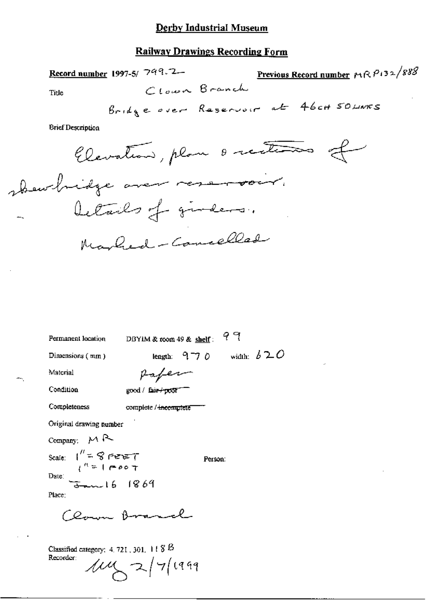### **Railway Drawings Recording Form**

Previous Record number  $MRP132/888$ Record number 1997-5/ 799.7-Clown Branch Title Bridge over Reservoir at 46ca 50 Links

**Brief Description** 

Elevation, plan o rections of show hidge over reservoir. Details of girdens. Marbed - Cancelles

| Permanent location                                                                                             | DBYIM & room 49 & shelf: |                  |         | ९ १ |               |  |
|----------------------------------------------------------------------------------------------------------------|--------------------------|------------------|---------|-----|---------------|--|
| Dimensions (mm)                                                                                                |                          | length: $9 - 70$ |         |     | width: $b 20$ |  |
| Material                                                                                                       | Paper                    |                  |         |     |               |  |
| Condition                                                                                                      | good / fair+poor         |                  |         |     |               |  |
| Completeness                                                                                                   | complete / incomptete    |                  |         |     |               |  |
| Original drawing number                                                                                        |                          |                  |         |     |               |  |
| Company: $M R$                                                                                                 |                          |                  |         |     |               |  |
| Scale: $\int_{1}^{H}$ = $\int_{0}^{H}$ = $\int$ $\int$ $\frac{d^{2}F}{F}$ = $\int$ $\frac{d^{2}F}{F}$ = $\int$ |                          |                  | Person: |     |               |  |
| Date:<br>$-16$ 1869                                                                                            |                          |                  |         |     |               |  |
| Place:                                                                                                         |                          |                  |         |     |               |  |
| $CO_{\text{max}}$ , B                                                                                          |                          |                  |         |     |               |  |
| Classified category: $4.721$ , $301$ , $118B$<br>Recorder:                                                     | $104 \times 274$ 1999    |                  |         |     |               |  |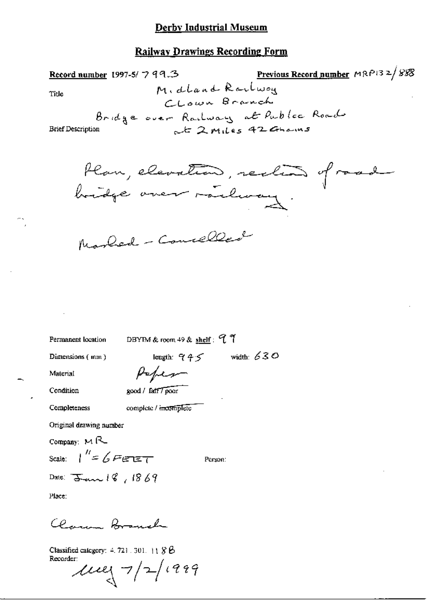#### **Railway Drawings Recording Form**

Previous Record number MRP132/888 Record number 1997-5/ 7 99.3 Midland Reilwon Title Clown Branch Bridge over Railway at Public Road at 2 miles 42 Ghains **Brief Description** 

Han, elevation, reclin of road

Marbed - Connelled

Permanent location

DBYIM & room 49 & shelf:  $97$ 

Dimensions (mm)

length:  $945$  width: 630

Person:

Material Condition

Completeness

good / fatt7 poor

complete / incomplete

Peper

Original drawing number

Company:  $M$  $R$ 

Scale:  $\int_{-\infty}^{\infty} f F \epsilon^{-1}$ 

Place:

Clean formal

Classified category:  $4.721.301.118B$ Recorder:

 $\mu$ eg 7/2/1999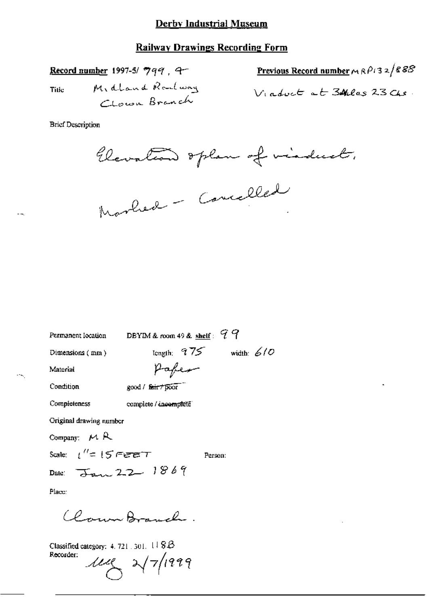### **Railway Drawings Recording Form**

Record number 1997-5/ 799, 9-Midland Roulway Title Cloud Branch

Previous Record number 
$$
MRP/32/R88
$$
  
16.  $4MF \times F$  34.8.2.3.71.

**Brief Description** 

Clevation oplan of visduct.

Marbed - Cancelled

DBYIM & room 49 & shelf:  $99$ Permanent Iocation tength;  $975$  width: 610 Dimensions (mm) Paper Material Condition good / fair + poor Completeness complete / incompleté Original drawing number Company:  $M R$ Scale:  $t'' = 15$  Fere T Person: Date: Jan 22 1869 Place: Closure Branch.

Classified category: 4, 721, 301,  $118B$ Recorder:  $\mu$  2 2/7/1999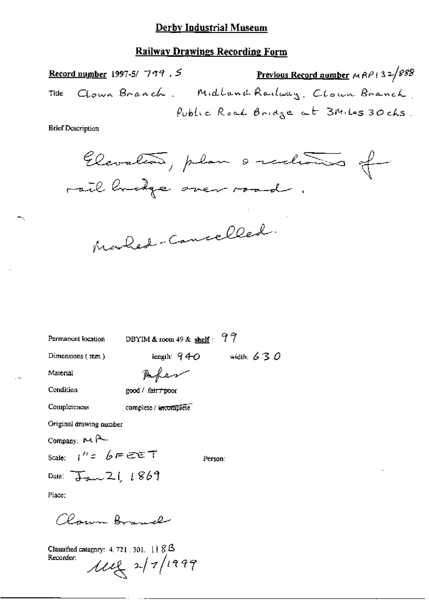### **Railway Drawings Recording Form**

Previous Record number  $MRP$  (32/888) Record number 1997-5/799, 5 Clown Branch. Midland Railway, Clown Branch, Title Public Road Bridge at 3Miles 30 chs.

**Brief Description** 



Marked-Cancelled.

Permanent location

DBYIM & room 49 & shelf:  $97$ 

Dimensions (mm)

length:  $940$  width:  $630$ 

Person:

Material

Paper

Condition

Completeness

good / fair / poor

complete / incomplete

Original drawing number

Company  $R \leftarrow$ 

Scale:  $1'' = 6 = \epsilon \epsilon T$ 

Date:  $\overline{J}_{av}$  21 1869

Place:

Claren Bonnel

Classified category:  $4.721.301.$   $11.83$ Recorder:  $\mu$ eg 2/7/1999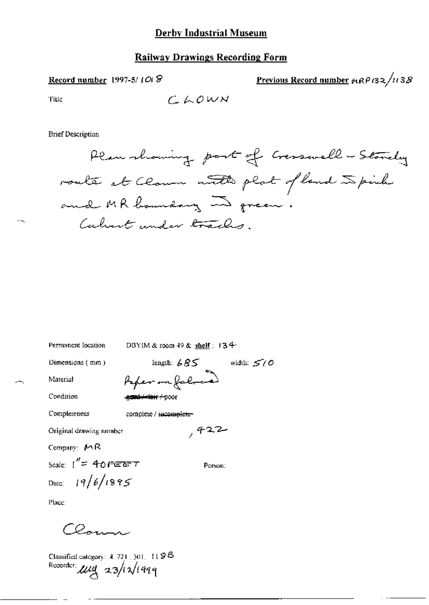#### **Railway Drawings Recording Form**

Record number 1997-5/ $10.8$ 

Previous Record number  $\theta$ 182/1138

Title

$$
\mathcal{L}\text{ mod } \mathcal{N}
$$

**Brief Description** 

Plan showing part of Cresswell - Standary roate at Claum notes plat of land spirite and MR boundary in green. Calvert under tracks.

width:  $5/0$ 

Permanent location

DBYIM & room 49 & shelf: 134

 $,422$ 

Person:

Dimensions (mm)

length:  $685$ Paper on Jalor

-<del>gand-Arteir / p</del>oor

Condition

Material

Completeness

complete / incomplete-

Original drawing number

Company: MR

Scale:  $1'' = 40$  PEET Date:  $19/6/1895$ 

Place:

 $Cer-1$ 

Classified category:  $4.721, 301, 1198$ Recorder: use 23/12/1999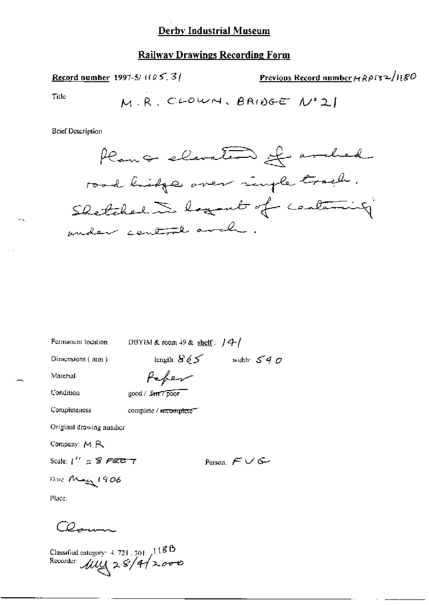#### **Railway Drawings Recording Form**

Previous Record number  $A R \rho$ /32/180 **Record number 1997-5/1105.31** Title M.R. CLOWN. BRIDGE Nº 21

**Brief Description** 



Permanent location

DBYIM & room  $+9$  & shelf:  $/4/$ 

Dimensions (mm)

length:  $865$  width:  $540$ 

Material

Paper good / farr7poor

Condition

**Completeness** 

complete / mcomplete -

Original drawing number

Company: MR

Scale:  $1'' = 8$  FEE 7

Person,  $F \vee G$ 

Place:

 $\overline{\omega}_{\text{max}}$ 

Date Mag 1906

Classified category 4, 721, 301, 118B<br>Recorder:  $\mu\mu$  2 8/4/2000